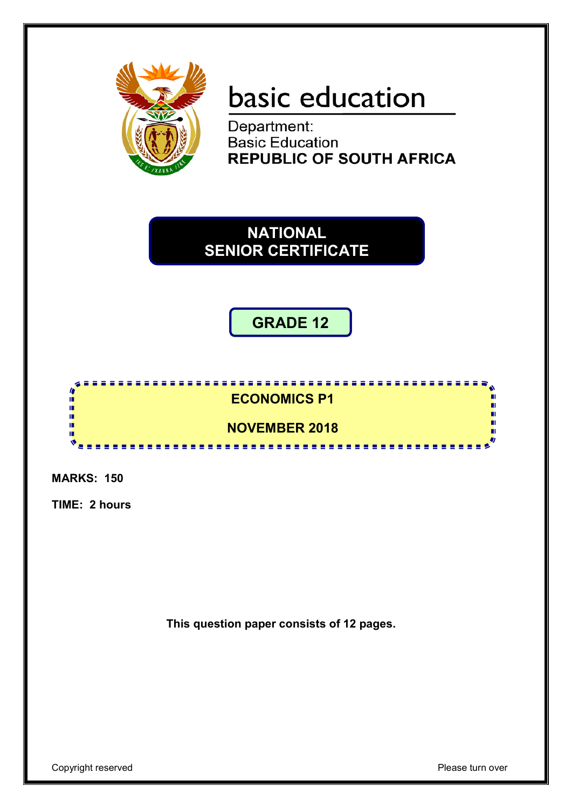

# basic education

Department: **Basic Education REPUBLIC OF SOUTH AFRICA** 

**NATIONAL SENIOR CERTIFICATE**

**GRADE 12**



**MARKS: 150**

**TIME: 2 hours**

**This question paper consists of 12 pages.**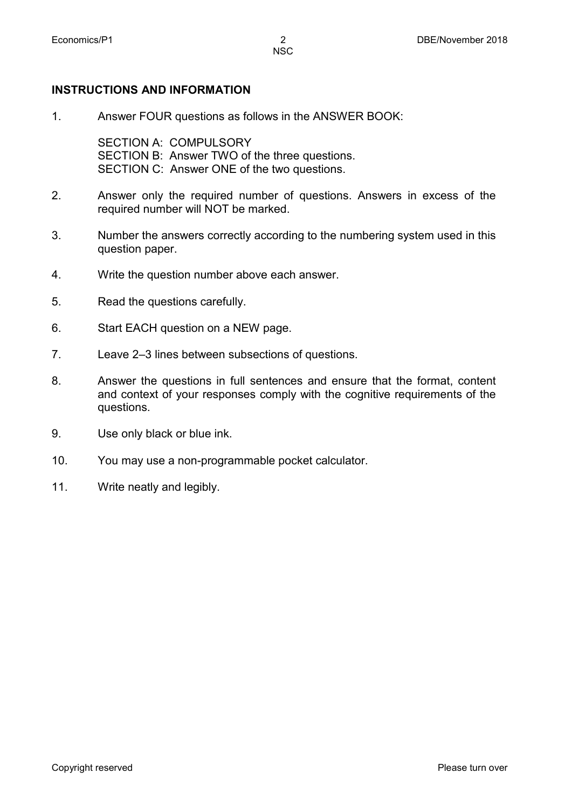#### **INSTRUCTIONS AND INFORMATION**

1. Answer FOUR questions as follows in the ANSWER BOOK:

SECTION A: COMPULSORY SECTION B: Answer TWO of the three questions. SECTION C: Answer ONE of the two questions.

- 2. Answer only the required number of questions. Answers in excess of the required number will NOT be marked.
- 3. Number the answers correctly according to the numbering system used in this question paper.
- 4. Write the question number above each answer.
- 5. Read the questions carefully.
- 6. Start EACH question on a NEW page.
- 7. Leave 2–3 lines between subsections of questions.
- 8. Answer the questions in full sentences and ensure that the format, content and context of your responses comply with the cognitive requirements of the questions.
- 9. Use only black or blue ink.
- 10. You may use a non-programmable pocket calculator.
- 11. Write neatly and legibly.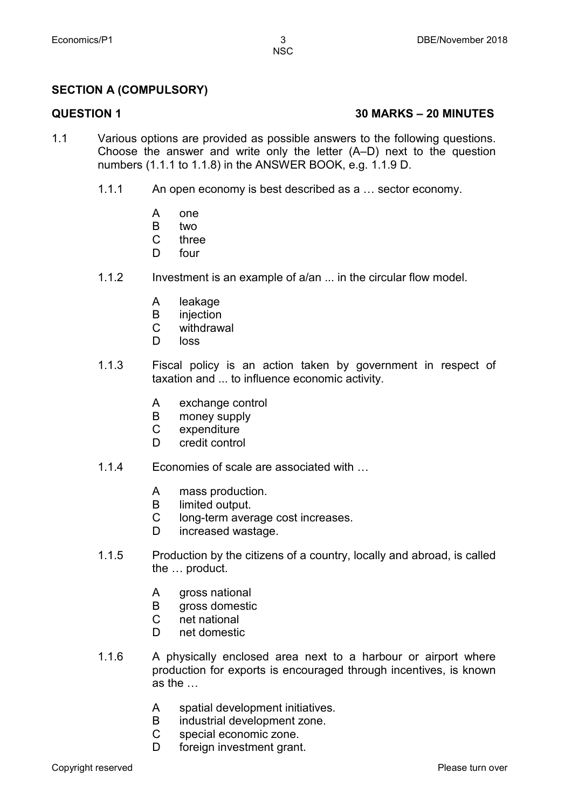#### **SECTION A (COMPULSORY)**

#### **QUESTION 1 30 MARKS – 20 MINUTES**

- 1.1 Various options are provided as possible answers to the following questions. Choose the answer and write only the letter (A–D) next to the question numbers (1.1.1 to 1.1.8) in the ANSWER BOOK, e.g. 1.1.9 D.
	- 1.1.1 An open economy is best described as a … sector economy.
		- A one
		- B two
		- $\mathcal{C}$ three
		- D four
	- 1.1.2 Investment is an example of a/an ... in the circular flow model.
		- A leakage
		- B injection
		- $\overline{C}$ withdrawal
		- D loss
	- 1.1.3 Fiscal policy is an action taken by government in respect of taxation and ... to influence economic activity.
		- A exchange control
		- B money supply
		- $\mathsf{C}$ expenditure
		- D. credit control
	- 1.1.4 Economies of scale are associated with …
		- A mass production.
		- B limited output.
		- C long-term average cost increases.
		- D increased wastage.
	- 1.1.5 Production by the citizens of a country, locally and abroad, is called the … product.
		- A gross national
		- B gross domestic
		- $\mathcal{C}$ net national
		- D net domestic
	- 1.1.6 A physically enclosed area next to a harbour or airport where production for exports is encouraged through incentives, is known as the …
		- A spatial development initiatives.
		- B industrial development zone.
		- C special economic zone.
		- D. foreign investment grant.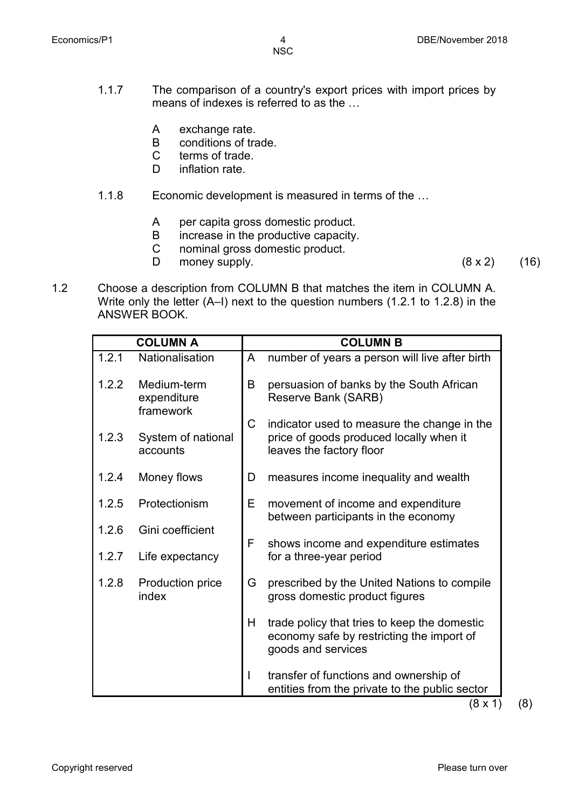- 1.1.7 The comparison of a country's export prices with import prices by means of indexes is referred to as the …
	- A exchange rate.
	- B conditions of trade.
	- $\overline{C}$ terms of trade.
	- D inflation rate.
- 1.1.8 Economic development is measured in terms of the …
	- A per capita gross domestic product.
	- B increase in the productive capacity.
	- C nominal gross domestic product.
	- D money supply.  $(8 \times 2)$  (16)
		-
- 1.2 Choose a description from COLUMN B that matches the item in COLUMN A. Write only the letter (A–I) next to the question numbers (1.2.1 to 1.2.8) in the ANSWER BOOK.

| <b>COLUMN A</b> |                                         | <b>COLUMN B</b> |                                                                                                                    |  |
|-----------------|-----------------------------------------|-----------------|--------------------------------------------------------------------------------------------------------------------|--|
| 1.2.1           | Nationalisation                         | A               | number of years a person will live after birth                                                                     |  |
| 1.2.2           | Medium-term<br>expenditure<br>framework | B               | persuasion of banks by the South African<br>Reserve Bank (SARB)                                                    |  |
| 1.2.3           | System of national<br>accounts          | C.              | indicator used to measure the change in the<br>price of goods produced locally when it<br>leaves the factory floor |  |
| 1.2.4           | Money flows                             | D               | measures income inequality and wealth                                                                              |  |
| 1.2.5           | Protectionism                           | E.              | movement of income and expenditure<br>between participants in the economy                                          |  |
| 1.2.6           | Gini coefficient                        | F               | shows income and expenditure estimates                                                                             |  |
| 1.2.7           | Life expectancy                         |                 | for a three-year period                                                                                            |  |
| 1.2.8           | Production price<br>index               | G               | prescribed by the United Nations to compile<br>gross domestic product figures                                      |  |
|                 |                                         | H.              | trade policy that tries to keep the domestic<br>economy safe by restricting the import of<br>goods and services    |  |
|                 |                                         |                 | transfer of functions and ownership of<br>entities from the private to the public sector<br>(8 x 1)                |  |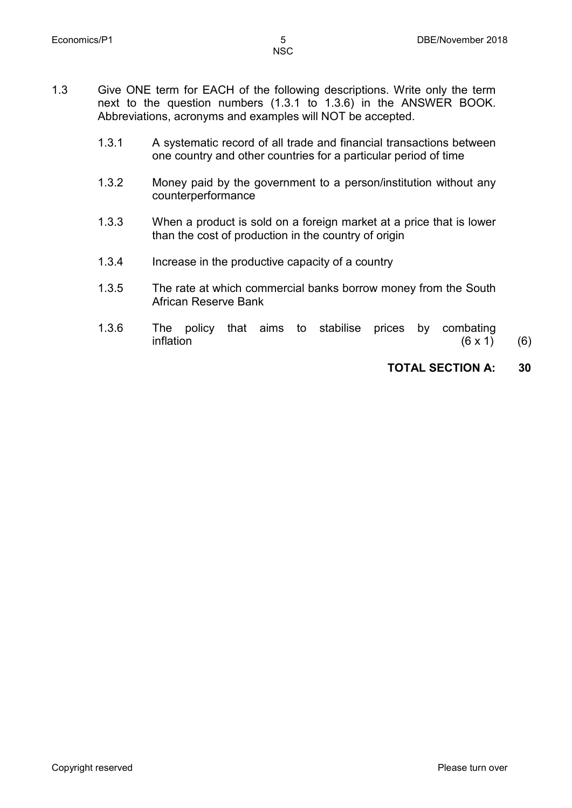- 1.3 Give ONE term for EACH of the following descriptions. Write only the term next to the question numbers (1.3.1 to 1.3.6) in the ANSWER BOOK. Abbreviations, acronyms and examples will NOT be accepted.
	- 1.3.1 A systematic record of all trade and financial transactions between one country and other countries for a particular period of time
	- 1.3.2 Money paid by the government to a person/institution without any counterperformance
	- 1.3.3 When a product is sold on a foreign market at a price that is lower than the cost of production in the country of origin
	- 1.3.4 Increase in the productive capacity of a country
	- 1.3.5 The rate at which commercial banks borrow money from the South African Reserve Bank
	- 1.3.6 The policy that aims to stabilise prices by combating inflation  $(6 \times 1)$ inflation  $(6 \times 1)$  (6)

### **TOTAL SECTION A: 30**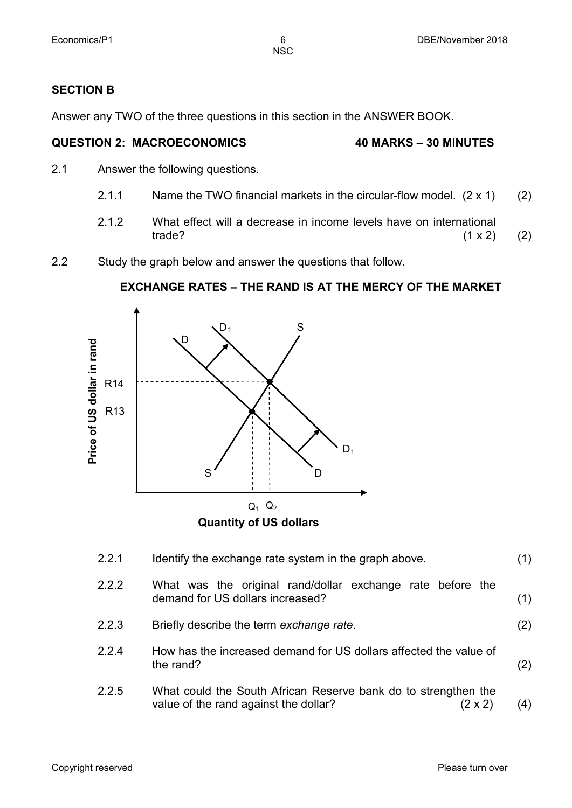#### **SECTION B**

Answer any TWO of the three questions in this section in the ANSWER BOOK.

#### **QUESTION 2: MACROECONOMICS 40 MARKS – 30 MINUTES**

- 2.1 Answer the following questions.
	- 2.1.1 Name the TWO financial markets in the circular-flow model.  $(2 \times 1)$  (2)
	- 2.1.2 What effect will a decrease in income levels have on international trade? (1 x 2) trade?  $(1 \times 2)$  (2)
- 2.2 Study the graph below and answer the questions that follow.

#### **EXCHANGE RATES – THE RAND IS AT THE MERCY OF THE MARKET**



| 2.2.1 | Identify the exchange rate system in the graph above.                                                              | (1) |
|-------|--------------------------------------------------------------------------------------------------------------------|-----|
| 2.2.2 | What was the original rand/dollar exchange rate before the<br>demand for US dollars increased?                     | (1) |
| 2.2.3 | Briefly describe the term exchange rate.                                                                           | (2) |
| 2.2.4 | How has the increased demand for US dollars affected the value of<br>the rand?                                     | (2) |
| 2.2.5 | What could the South African Reserve bank do to strengthen the<br>value of the rand against the dollar?<br>(2 x 2) | (4) |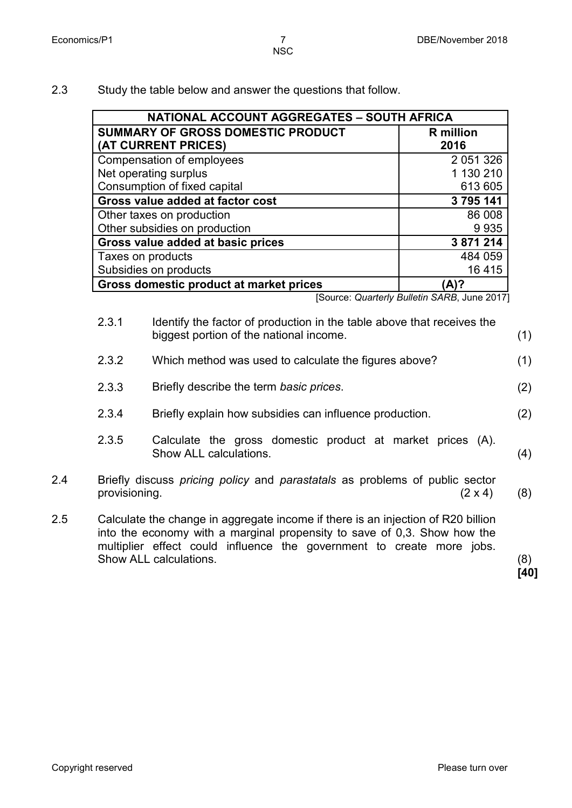2.3 Study the table below and answer the questions that follow.

| NATIONAL ACCOUNT AGGREGATES - SOUTH AFRICA |                  |  |  |
|--------------------------------------------|------------------|--|--|
| <b>SUMMARY OF GROSS DOMESTIC PRODUCT</b>   | <b>R</b> million |  |  |
| (AT CURRENT PRICES)                        | 2016             |  |  |
| Compensation of employees                  | 2 0 51 3 26      |  |  |
| Net operating surplus                      | 1 130 210        |  |  |
| Consumption of fixed capital               | 613 605          |  |  |
| Gross value added at factor cost           | 3 795 141        |  |  |
| Other taxes on production                  | 86 008           |  |  |
| Other subsidies on production              | 9935             |  |  |
| Gross value added at basic prices          | 3 871 214        |  |  |
| Taxes on products                          | 484 059          |  |  |
| Subsidies on products                      | 16 4 15          |  |  |
| Gross domestic product at market prices    | 'A)?             |  |  |

[Source: *Quarterly Bulletin SARB*, June 2017]

2.3.1 Identify the factor of production in the table above that receives the biggest portion of the national income. (1) 2.3.2 Which method was used to calculate the figures above? (1) 2.3.3 Briefly describe the term *basic prices*. (2) 2.3.4 Briefly explain how subsidies can influence production. (2) 2.3.5 Calculate the gross domestic product at market prices (A). Show ALL calculations. (4) 2.4 Briefly discuss *pricing policy* and *parastatals* as problems of public sector provisioning.  $(2 \times 4)$  (8) 2.5 Calculate the change in aggregate income if there is an injection of R20 billion into the economy with a marginal propensity to save of 0,3. Show how the multiplier effect could influence the government to create more jobs. Show ALL calculations. (8)

**[40]**

Copyright reserved **Please turn over the Copyright reserved** Please turn over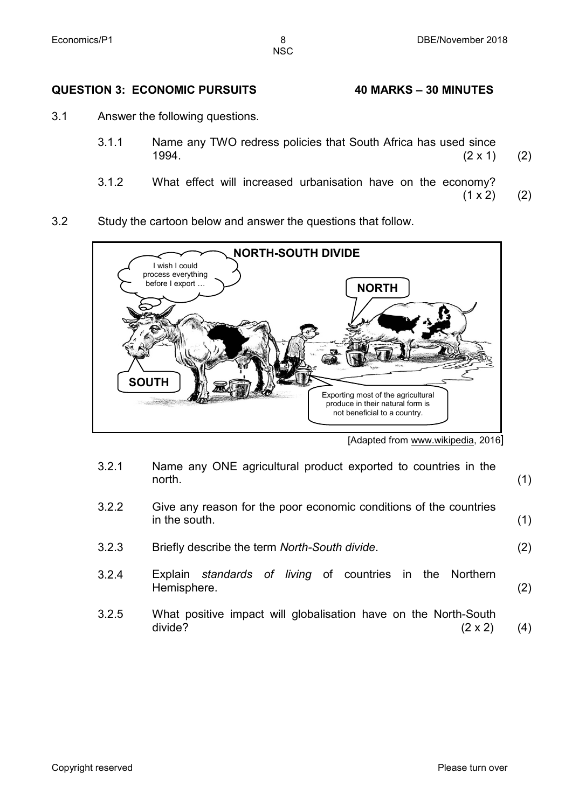#### **QUESTION 3: ECONOMIC PURSUITS 40 MARKS – 30 MINUTES**

- 3.1 Answer the following questions.
	- 3.1.1 Name any TWO redress policies that South Africa has used since<br>1994. (2 x 1)  $1994.$  (2 x 1) (2)
	- 3.1.2 What effect will increased urbanisation have on the economy?<br>(1 x 2)  $(1 \times 2)$  (2)
- 3.2 Study the cartoon below and answer the questions that follow.



<sup>[</sup>Adapted from www.wikipedia, 2016]

- 3.2.1 Name any ONE agricultural product exported to countries in the north. north. (1)
- 3.2.2 Give any reason for the poor economic conditions of the countries  $\int$  in the south. (1)
- 3.2.3 Briefly describe the term *North-South divide*. (2)
- 3.2.4 Explain *standards of living* of countries in the Northern Hemisphere. (2)
- 3.2.5 What positive impact will globalisation have on the North-South<br>divide? (2 x 2) divide?  $(2 \times 2)$  (4)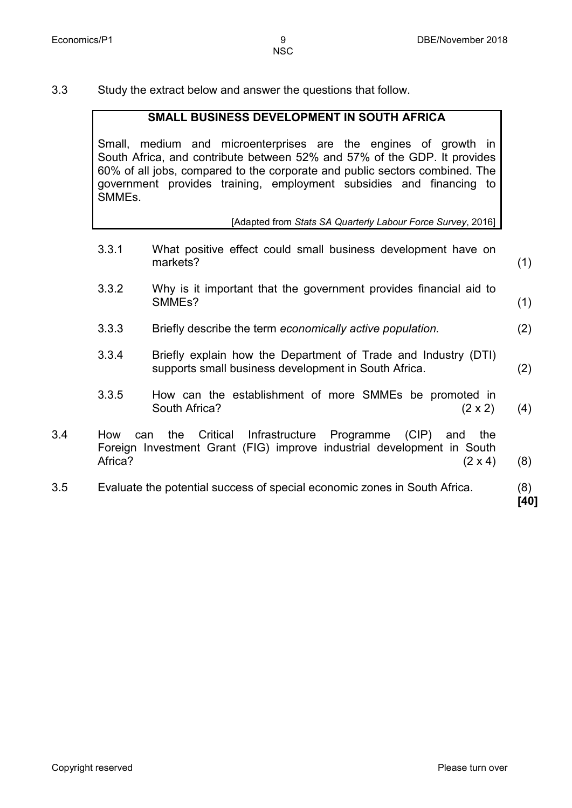3.3 Study the extract below and answer the questions that follow.

#### **SMALL BUSINESS DEVELOPMENT IN SOUTH AFRICA**

Small, medium and microenterprises are the engines of growth in South Africa, and contribute between 52% and 57% of the GDP. It provides 60% of all jobs, compared to the corporate and public sectors combined. The government provides training, employment subsidies and financing to **SMMFs** 

#### [Adapted from *Stats SA Quarterly Labour Force Survey*, 2016]

- 3.3.1 What positive effect could small business development have on markets? (1)
- 3.3.2 Why is it important that the government provides financial aid to SMMEs? (1)
- 3.3.3 Briefly describe the term *economically active population.* (2)
- 3.3.4 Briefly explain how the Department of Trade and Industry (DTI) supports small business development in South Africa. (2)
- 3.3.5 How can the establishment of more SMMEs be promoted in South Africa? (2 x 2) (4)
- 3.4 How can the Critical Infrastructure Programme (CIP) and the Foreign Investment Grant (FIG) improve industrial development in South Africa?  $(2 \times 4)$  (8)
- 3.5 Evaluate the potential success of special economic zones in South Africa. (8)

**[40]**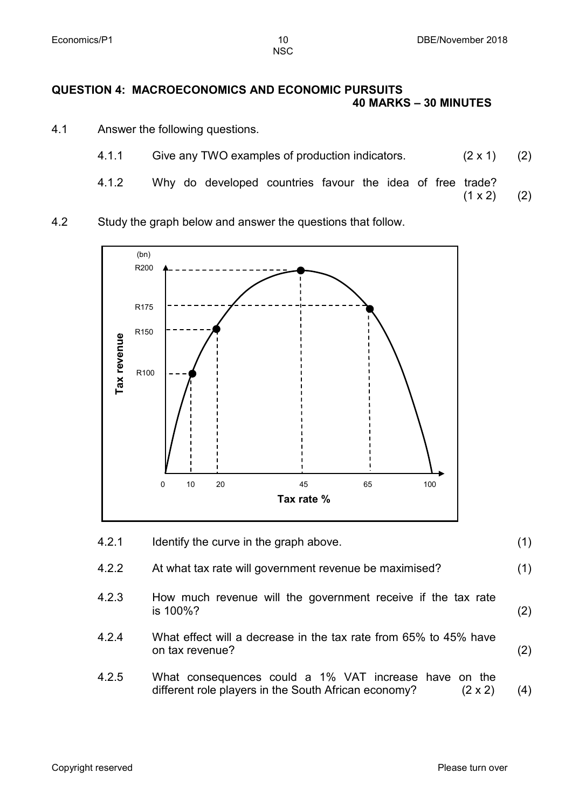#### **QUESTION 4: MACROECONOMICS AND ECONOMIC PURSUITS 40 MARKS – 30 MINUTES**

- 4.1 Answer the following questions.
	- 4.1.1 Give any TWO examples of production indicators. (2 x 1) (2)
	- 4.1.2 Why do developed countries favour the idea of free trade?  $(1 \times 2)$  (2)
		-
- 4.2 Study the graph below and answer the questions that follow.



4.2.1 Identify the curve in the graph above. (1) 4.2.2 At what tax rate will government revenue be maximised? (1) 4.2.3 How much revenue will the government receive if the tax rate is 100%? is 100%?  $(2)$ 4.2.4 What effect will a decrease in the tax rate from 65% to 45% have on tax revenue? (2) 4.2.5 What consequences could a 1% VAT increase have on the

different role players in the South African economy? (2 x 2) (4)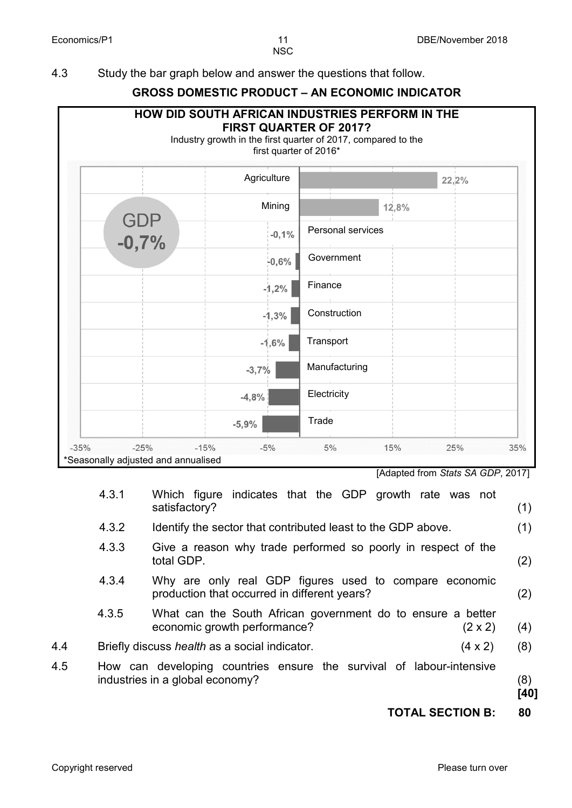4.3 Study the bar graph below and answer the questions that follow.

## **GROSS DOMESTIC PRODUCT – AN ECONOMIC INDICATOR**

|              | first quarter of 2016* |                   |
|--------------|------------------------|-------------------|
|              | Agriculture            | 22,2%             |
|              | Mining                 | 12,8%             |
| GDP<br>-0,7% | $-0,1%$                | Personal services |
|              | $-0,6%$                | Government        |
|              | $-1,2%$                | Finance           |
|              | $-1,3%$                | Construction      |
|              | $-1,6%$                | Transport         |
|              | $-3,7%$                | Manufacturing     |
|              | $-4,8%$                | Electricity       |
|              | $-5,9%$                | Trade             |

[Adapted from *Stats SA GDP*, 2017]

|     | 4.3.1 | Which figure indicates that the GDP growth rate was not<br>satisfactory?                                      | (1)         |
|-----|-------|---------------------------------------------------------------------------------------------------------------|-------------|
|     | 4.3.2 | Identify the sector that contributed least to the GDP above.                                                  | (1)         |
|     | 4.3.3 | Give a reason why trade performed so poorly in respect of the<br>total GDP.                                   | (2)         |
|     | 4.3.4 | Why are only real GDP figures used to compare economic<br>production that occurred in different years?        | (2)         |
|     | 4.3.5 | What can the South African government do to ensure a better<br>economic growth performance?<br>$(2 \times 2)$ | (4)         |
| 4.4 |       | Briefly discuss <i>health</i> as a social indicator.<br>$(4 \times 2)$                                        | (8)         |
| 4.5 |       | How can developing countries ensure the survival of labour-intensive<br>industries in a global economy?       | (8)<br>[40] |

**TOTAL SECTION B: 80**